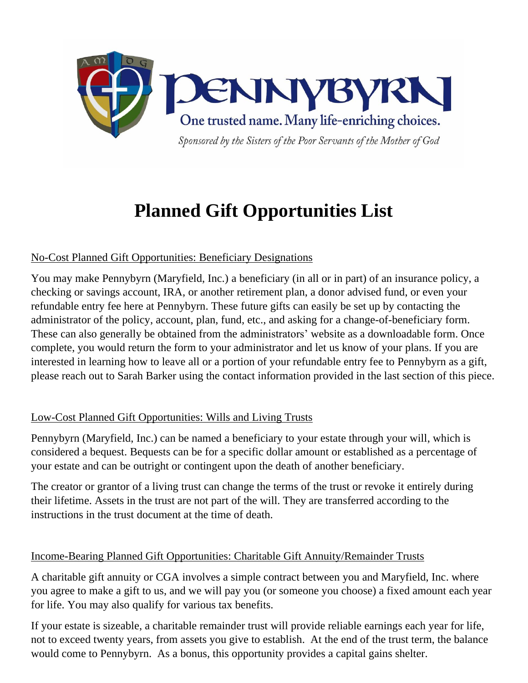

# **Planned Gift Opportunities List**

## No-Cost Planned Gift Opportunities: Beneficiary Designations

You may make Pennybyrn (Maryfield, Inc.) a beneficiary (in all or in part) of an insurance policy, a checking or savings account, IRA, or another retirement plan, a donor advised fund, or even your refundable entry fee here at Pennybyrn. These future gifts can easily be set up by contacting the administrator of the policy, account, plan, fund, etc., and asking for a change-of-beneficiary form. These can also generally be obtained from the administrators' website as a downloadable form. Once complete, you would return the form to your administrator and let us know of your plans. If you are interested in learning how to leave all or a portion of your refundable entry fee to Pennybyrn as a gift, please reach out to Sarah Barker using the contact information provided in the last section of this piece.

## Low-Cost Planned Gift Opportunities: Wills and Living Trusts

Pennybyrn (Maryfield, Inc.) can be named a beneficiary to your estate through your will, which is considered a bequest. Bequests can be for a specific dollar amount or established as a percentage of your estate and can be outright or contingent upon the death of another beneficiary.

The creator or grantor of a living trust can change the terms of the trust or revoke it entirely during their lifetime. Assets in the trust are not part of the will. They are transferred according to the instructions in the trust document at the time of death.

#### Income-Bearing Planned Gift Opportunities: Charitable Gift Annuity/Remainder Trusts

A charitable gift annuity or CGA involves a simple contract between you and Maryfield, Inc. where you agree to make a gift to us, and we will pay you (or someone you choose) a fixed amount each year for life. You may also qualify for various tax benefits.

If your estate is sizeable, a charitable remainder trust will provide reliable earnings each year for life, not to exceed twenty years, from assets you give to establish. At the end of the trust term, the balance would come to Pennybyrn. As a bonus, this opportunity provides a capital gains shelter.